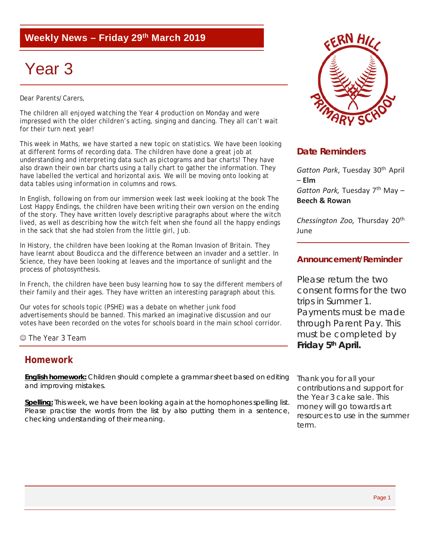## **Weekly News – Friday 29th March 2019**

# Year 3

Dear Parents/Carers,

The children all enjoyed watching the Year 4 production on Monday and were impressed with the older children's acting, singing and dancing. They all can't wait for their turn next year!

This week in Maths, we have started a new topic on statistics. We have been looking at different forms of recording data. The children have done a great job at understanding and interpreting data such as pictograms and bar charts! They have also drawn their own bar charts using a tally chart to gather the information. They have labelled the vertical and horizontal axis. We will be moving onto looking at data tables using information in columns and rows.

In English, following on from our immersion week last week looking at the book *The Lost Happy Endings,* the children have been writing their own version on the ending of the story. They have written lovely descriptive paragraphs about where the witch lived, as well as describing how the witch felt when she found all the happy endings in the sack that she had stolen from the little girl, Jub.

In History, the children have been looking at the Roman Invasion of Britain. They have learnt about Boudicca and the difference between an invader and a settler. In Science, they have been looking at leaves and the importance of sunlight and the process of photosynthesis.

In French, the children have been busy learning how to say the different members of their family and their ages. They have written an interesting paragraph about this.

Our votes for schools topic (PSHE) was a debate on whether junk food advertisements should be banned. This marked an imaginative discussion and our votes have been recorded on the votes for schools board in the main school corridor.

The Year 3 Team

#### **Homework**

**English homework:** Children should complete a grammar sheet based on editing and improving mistakes.

**Spelling:** This week, we have been looking again at the homophones spelling list. Please practise the words from the list by also putting them in a sentence, checking understanding of their meaning.



### **Date Reminders**

*Gatton Park*, Tuesday 30th April – **Elm**

Gatton Park, Tuesday 7<sup>th</sup> May -**Beech & Rowan**

*Chessington Zoo,* Thursday 20th June

#### **Announcement/Reminder**

Please return the two consent forms for the two trips in Summer 1. Payments must be made through Parent Pay. This must be completed by **Friday 5th April.** 

*Thank you for all your contributions and support for the Year 3 cake sale. This money will go towards art resources to use in the summer term.*